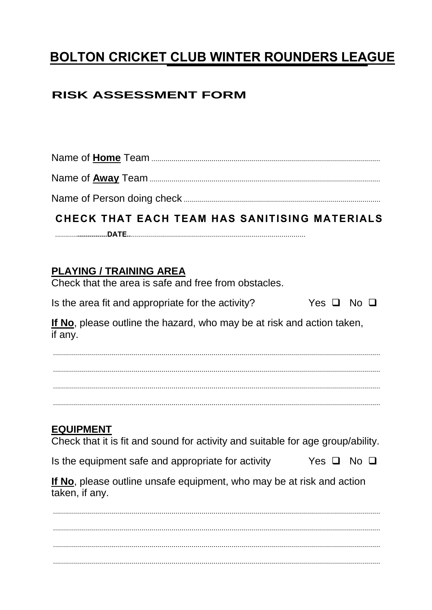# BOLTON CRICKET CLUB WINTER ROUNDERS LEAGUE

## **RISK ASSESSMENT FORM**

# CHECK THAT EACH TEAM HAS SANITISING MATERIALS

#### **PLAYING / TRAINING AREA**

Check that the area is safe and free from obstacles.

Is the area fit and appropriate for the activity? Yes  $\Box$  No  $\Box$ 

If No, please outline the hazard, who may be at risk and action taken, if any.

## **EQUIPMENT**

Check that it is fit and sound for activity and suitable for age group/ability.

Is the equipment safe and appropriate for activity Yes  $\Box$  No  $\Box$ 

If No, please outline unsafe equipment, who may be at risk and action taken, if any.